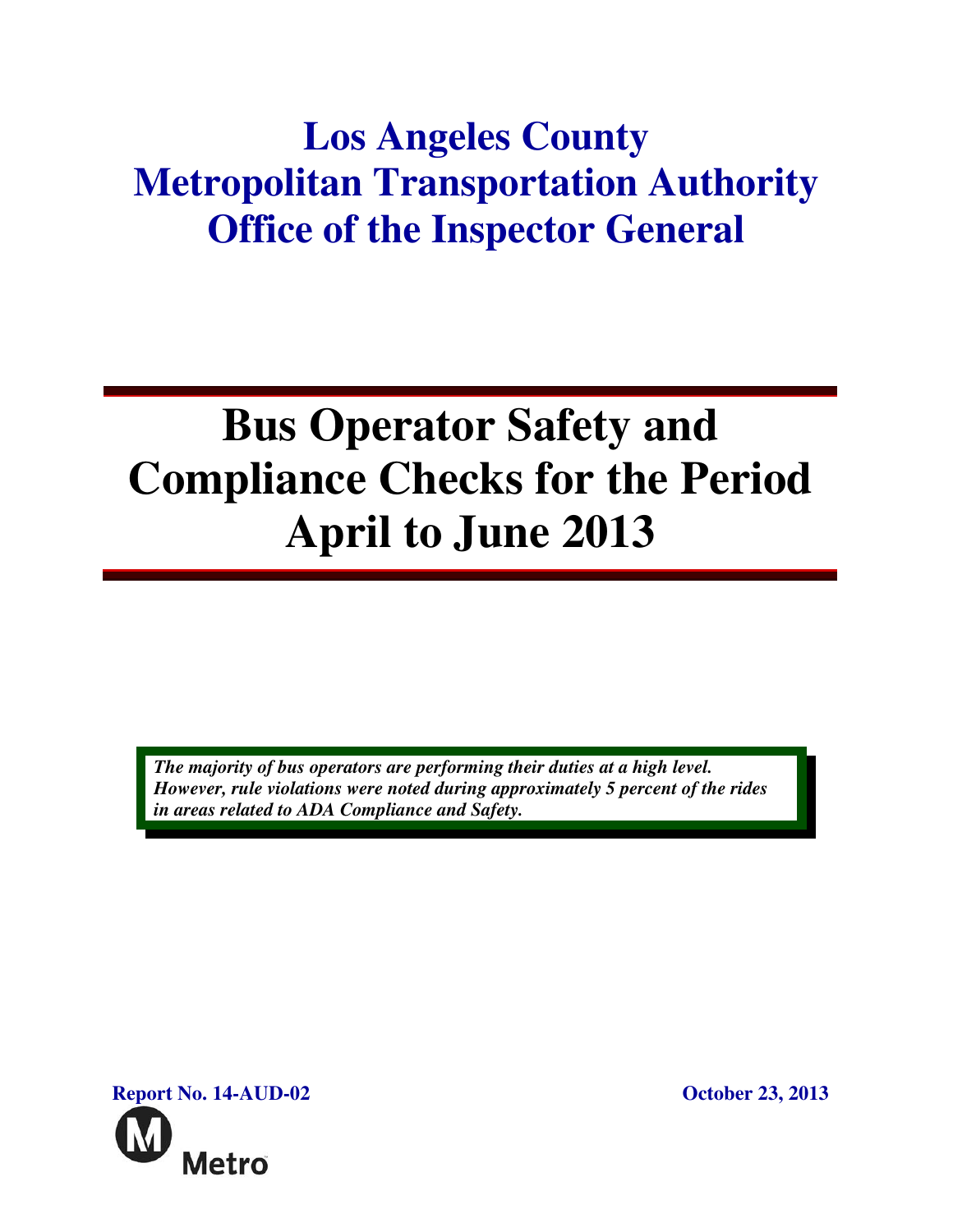## **Los Angeles County Metropolitan Transportation Authority Office of the Inspector General**

# **Bus Operator Safety and Compliance Checks for the Period April to June 2013**

*The majority of bus operators are performing their duties at a high level. However, rule violations were noted during approximately 5 percent of the rides in areas related to ADA Compliance and Safety.* 

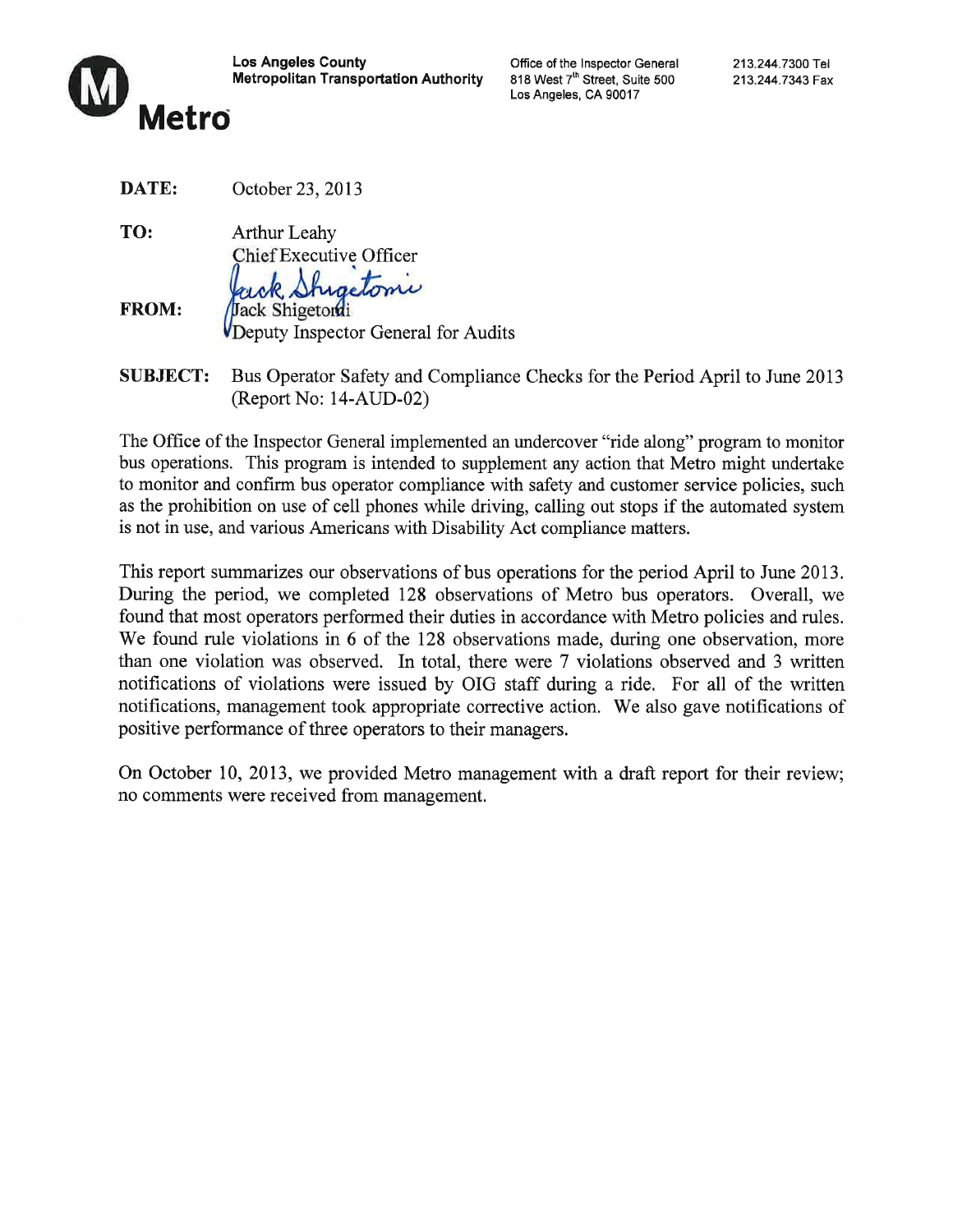

**Los Angeles County Metropolitan Transportation Authority**  Office of the Inspector General 818 West 7<sup>th</sup> Street, Suite 500 Los Angeles, CA 90017

| DATE: | October 23, 2013 |  |
|-------|------------------|--|
|-------|------------------|--|

TO: **Arthur Leahy** Chief Executive Officer retomi

**FROM:** Jack Shigetorui Deputy Inspector General for Audits

Bus Operator Safety and Compliance Checks for the Period April to June 2013 **SUBJECT:**  $(Report No: 14-AUD-02)$ 

The Office of the Inspector General implemented an undercover "ride along" program to monitor bus operations. This program is intended to supplement any action that Metro might undertake to monitor and confirm bus operator compliance with safety and customer service policies, such as the prohibition on use of cell phones while driving, calling out stops if the automated system is not in use, and various Americans with Disability Act compliance matters.

This report summarizes our observations of bus operations for the period April to June 2013. During the period, we completed 128 observations of Metro bus operators. Overall, we found that most operators performed their duties in accordance with Metro policies and rules. We found rule violations in 6 of the 128 observations made, during one observation, more than one violation was observed. In total, there were 7 violations observed and 3 written notifications of violations were issued by OIG staff during a ride. For all of the written notifications, management took appropriate corrective action. We also gave notifications of positive performance of three operators to their managers.

On October 10, 2013, we provided Metro management with a draft report for their review; no comments were received from management.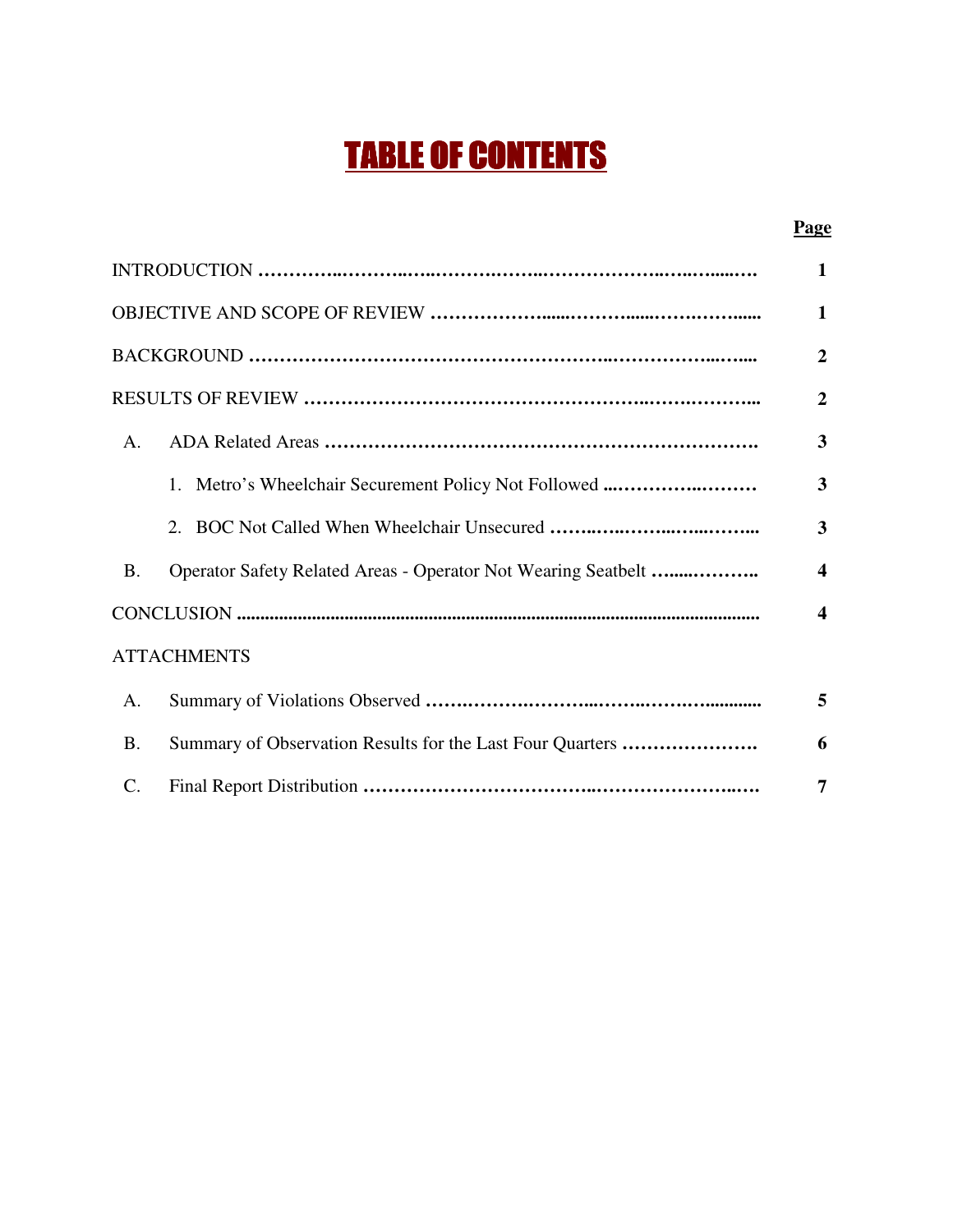## TABLE OF CONTENTS

#### **Page**

|                 |                                                               | 1                       |
|-----------------|---------------------------------------------------------------|-------------------------|
|                 |                                                               | 1                       |
|                 |                                                               | $\overline{2}$          |
|                 |                                                               | $\overline{2}$          |
| A.              |                                                               | $\overline{\mathbf{3}}$ |
|                 | 1. Metro's Wheelchair Securement Policy Not Followed          | $\overline{\mathbf{3}}$ |
|                 | 2.                                                            | 3                       |
| <b>B.</b>       | Operator Safety Related Areas - Operator Not Wearing Seatbelt | $\boldsymbol{4}$        |
|                 |                                                               | $\boldsymbol{4}$        |
|                 | <b>ATTACHMENTS</b>                                            |                         |
| A.              |                                                               | 5                       |
| <b>B.</b>       | Summary of Observation Results for the Last Four Quarters     | 6                       |
| $\mathcal{C}$ . |                                                               | 7                       |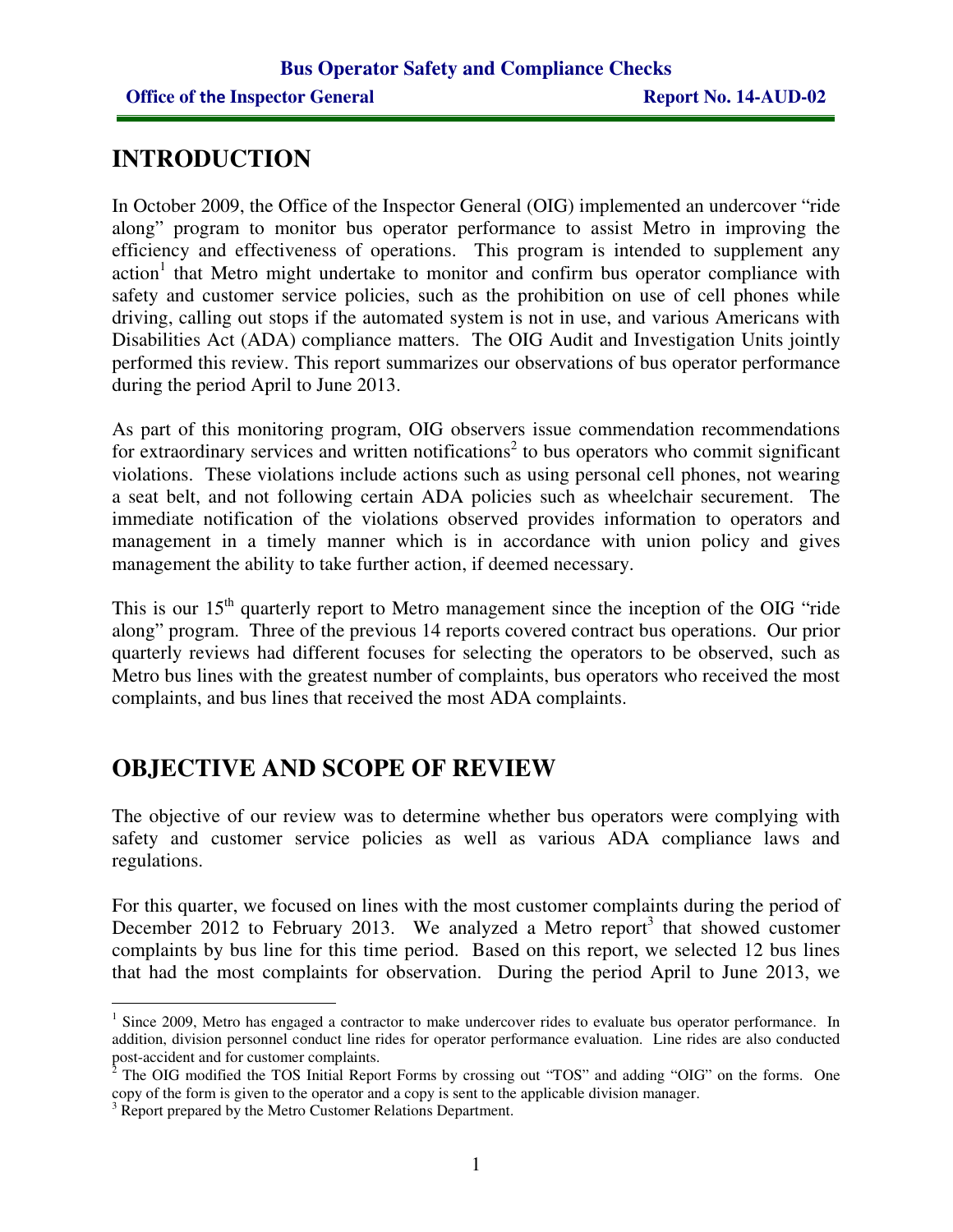### **INTRODUCTION**

In October 2009, the Office of the Inspector General (OIG) implemented an undercover "ride along" program to monitor bus operator performance to assist Metro in improving the efficiency and effectiveness of operations. This program is intended to supplement any action<sup>1</sup> that Metro might undertake to monitor and confirm bus operator compliance with safety and customer service policies, such as the prohibition on use of cell phones while driving, calling out stops if the automated system is not in use, and various Americans with Disabilities Act (ADA) compliance matters. The OIG Audit and Investigation Units jointly performed this review. This report summarizes our observations of bus operator performance during the period April to June 2013.

As part of this monitoring program, OIG observers issue commendation recommendations for extraordinary services and written notifications<sup>2</sup> to bus operators who commit significant violations. These violations include actions such as using personal cell phones, not wearing a seat belt, and not following certain ADA policies such as wheelchair securement. The immediate notification of the violations observed provides information to operators and management in a timely manner which is in accordance with union policy and gives management the ability to take further action, if deemed necessary.

This is our 15<sup>th</sup> quarterly report to Metro management since the inception of the OIG "ride" along" program. Three of the previous 14 reports covered contract bus operations. Our prior quarterly reviews had different focuses for selecting the operators to be observed, such as Metro bus lines with the greatest number of complaints, bus operators who received the most complaints, and bus lines that received the most ADA complaints.

## **OBJECTIVE AND SCOPE OF REVIEW**

The objective of our review was to determine whether bus operators were complying with safety and customer service policies as well as various ADA compliance laws and regulations.

For this quarter, we focused on lines with the most customer complaints during the period of December 2012 to February 2013. We analyzed a Metro report<sup>3</sup> that showed customer complaints by bus line for this time period. Based on this report, we selected 12 bus lines that had the most complaints for observation. During the period April to June 2013, we

 $\overline{a}$ <sup>1</sup> Since 2009, Metro has engaged a contractor to make undercover rides to evaluate bus operator performance. In addition, division personnel conduct line rides for operator performance evaluation. Line rides are also conducted

post-accident and for customer complaints.<br><sup>2</sup> The OIG modified the TOS Initial Report Forms by crossing out "TOS" and adding "OIG" on the forms. One copy of the form is given to the operator and a copy is sent to the applicable division manager.

<sup>&</sup>lt;sup>3</sup> Report prepared by the Metro Customer Relations Department.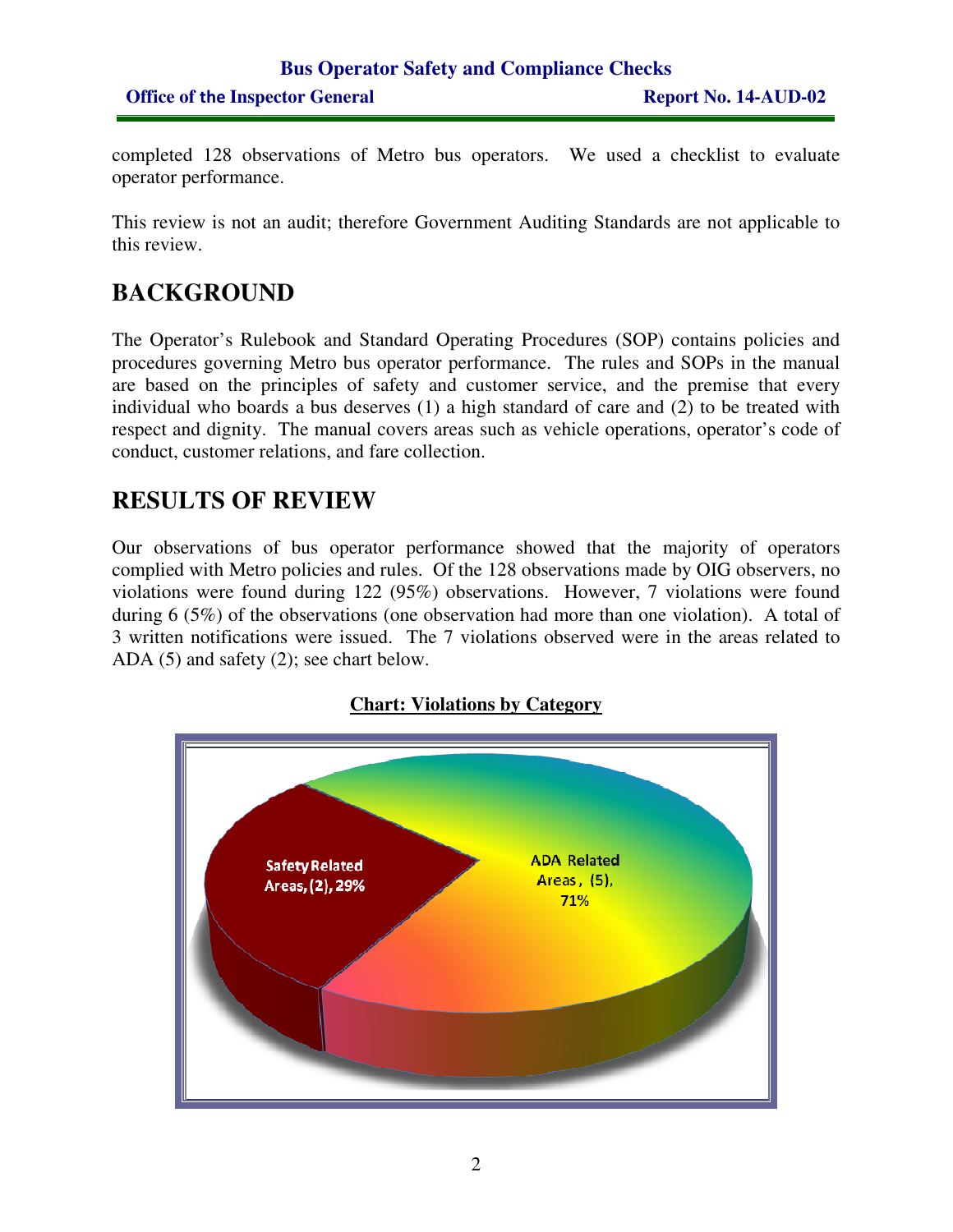completed 128 observations of Metro bus operators. We used a checklist to evaluate operator performance.

This review is not an audit; therefore Government Auditing Standards are not applicable to this review.

## **BACKGROUND**

The Operator's Rulebook and Standard Operating Procedures (SOP) contains policies and procedures governing Metro bus operator performance. The rules and SOPs in the manual are based on the principles of safety and customer service, and the premise that every individual who boards a bus deserves (1) a high standard of care and (2) to be treated with respect and dignity. The manual covers areas such as vehicle operations, operator's code of conduct, customer relations, and fare collection.

## **RESULTS OF REVIEW**

Our observations of bus operator performance showed that the majority of operators complied with Metro policies and rules. Of the 128 observations made by OIG observers, no violations were found during 122 (95%) observations. However, 7 violations were found during 6 (5%) of the observations (one observation had more than one violation). A total of 3 written notifications were issued. The 7 violations observed were in the areas related to ADA (5) and safety (2); see chart below.

#### **Chart: Violations by Category**

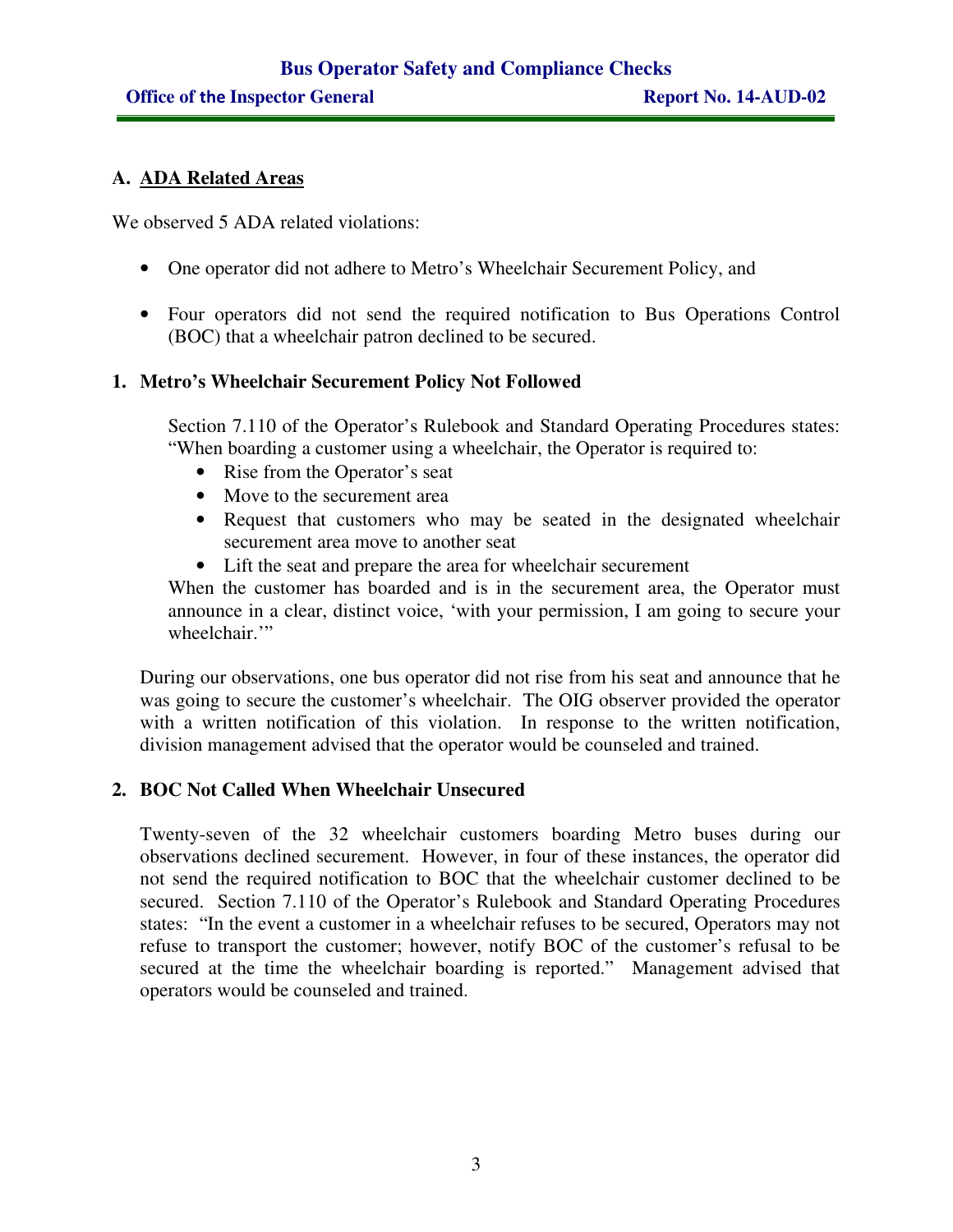#### **A. ADA Related Areas**

We observed 5 ADA related violations:

- One operator did not adhere to Metro's Wheelchair Securement Policy, and
- Four operators did not send the required notification to Bus Operations Control (BOC) that a wheelchair patron declined to be secured.

#### **1. Metro's Wheelchair Securement Policy Not Followed**

Section 7.110 of the Operator's Rulebook and Standard Operating Procedures states: "When boarding a customer using a wheelchair, the Operator is required to:

- Rise from the Operator's seat
- Move to the securement area
- Request that customers who may be seated in the designated wheelchair securement area move to another seat
- Lift the seat and prepare the area for wheelchair securement

When the customer has boarded and is in the securement area, the Operator must announce in a clear, distinct voice, 'with your permission, I am going to secure your wheelchair."

During our observations, one bus operator did not rise from his seat and announce that he was going to secure the customer's wheelchair. The OIG observer provided the operator with a written notification of this violation. In response to the written notification, division management advised that the operator would be counseled and trained.

#### **2. BOC Not Called When Wheelchair Unsecured**

Twenty-seven of the 32 wheelchair customers boarding Metro buses during our observations declined securement. However, in four of these instances, the operator did not send the required notification to BOC that the wheelchair customer declined to be secured. Section 7.110 of the Operator's Rulebook and Standard Operating Procedures states: "In the event a customer in a wheelchair refuses to be secured, Operators may not refuse to transport the customer; however, notify BOC of the customer's refusal to be secured at the time the wheelchair boarding is reported." Management advised that operators would be counseled and trained.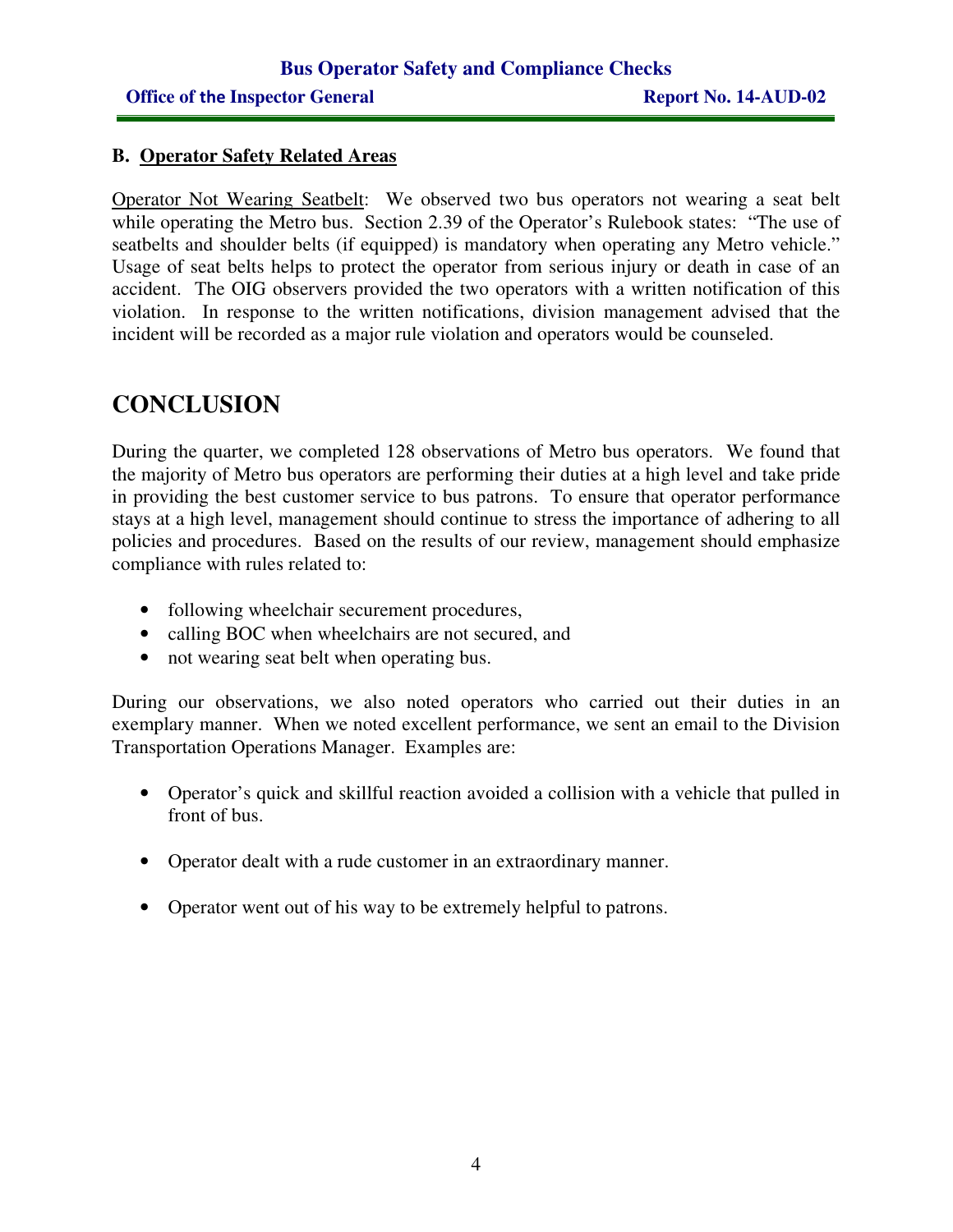#### **B. Operator Safety Related Areas**

Operator Not Wearing Seatbelt: We observed two bus operators not wearing a seat belt while operating the Metro bus. Section 2.39 of the Operator's Rulebook states: "The use of seatbelts and shoulder belts (if equipped) is mandatory when operating any Metro vehicle." Usage of seat belts helps to protect the operator from serious injury or death in case of an accident. The OIG observers provided the two operators with a written notification of this violation. In response to the written notifications, division management advised that the incident will be recorded as a major rule violation and operators would be counseled.

## **CONCLUSION**

During the quarter, we completed 128 observations of Metro bus operators. We found that the majority of Metro bus operators are performing their duties at a high level and take pride in providing the best customer service to bus patrons. To ensure that operator performance stays at a high level, management should continue to stress the importance of adhering to all policies and procedures. Based on the results of our review, management should emphasize compliance with rules related to:

- following wheelchair securement procedures,
- calling BOC when wheelchairs are not secured, and
- not wearing seat belt when operating bus.

During our observations, we also noted operators who carried out their duties in an exemplary manner. When we noted excellent performance, we sent an email to the Division Transportation Operations Manager. Examples are:

- Operator's quick and skillful reaction avoided a collision with a vehicle that pulled in front of bus.
- Operator dealt with a rude customer in an extraordinary manner.
- Operator went out of his way to be extremely helpful to patrons.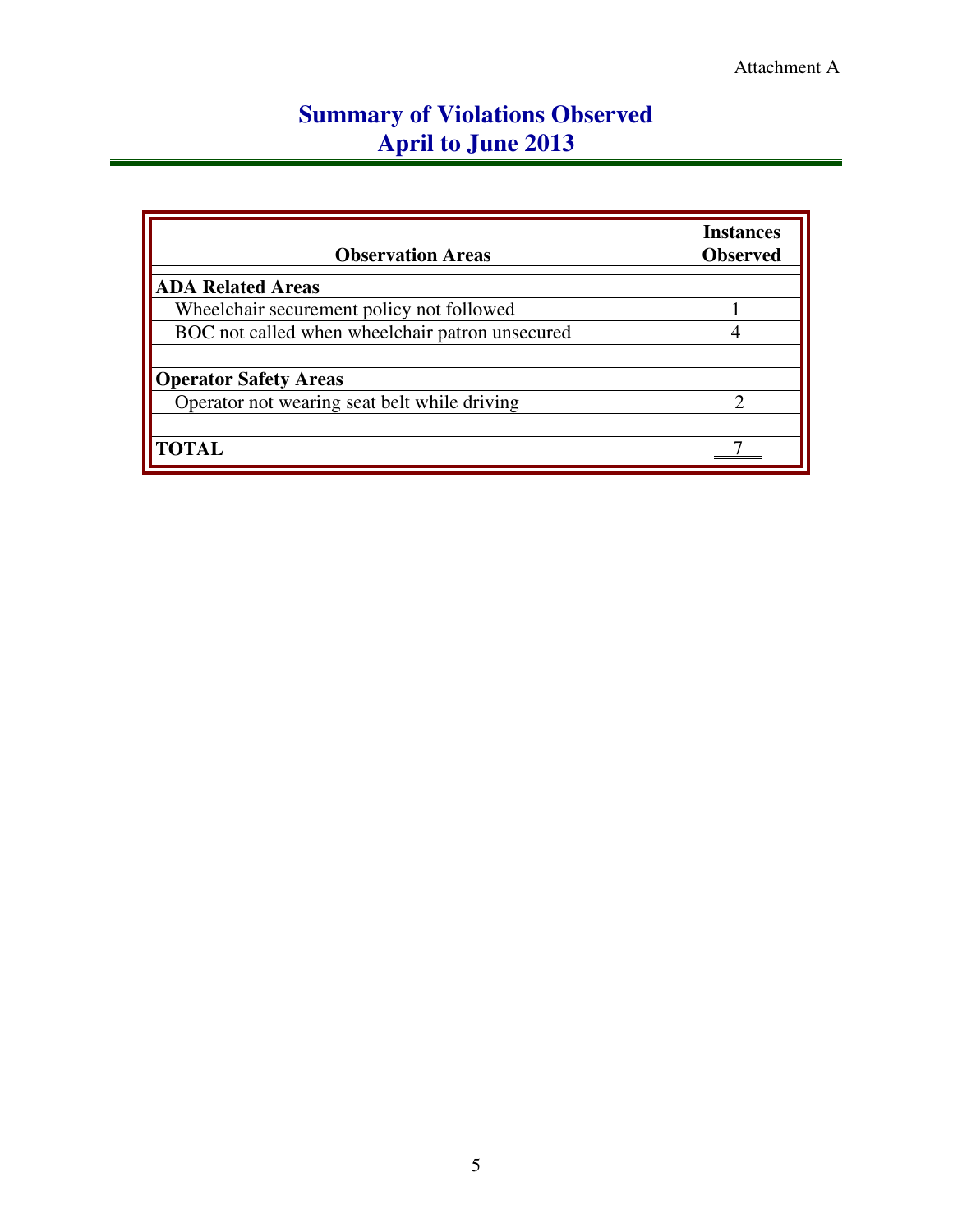## **Summary of Violations Observed April to June 2013**

| <b>Observation Areas</b>                        | <b>Instances</b><br><b>Observed</b> |
|-------------------------------------------------|-------------------------------------|
| <b>ADA Related Areas</b>                        |                                     |
| Wheelchair securement policy not followed       |                                     |
| BOC not called when wheelchair patron unsecured |                                     |
|                                                 |                                     |
| <b>Operator Safety Areas</b>                    |                                     |
| Operator not wearing seat belt while driving    |                                     |
|                                                 |                                     |
| <b>TOTAL</b>                                    |                                     |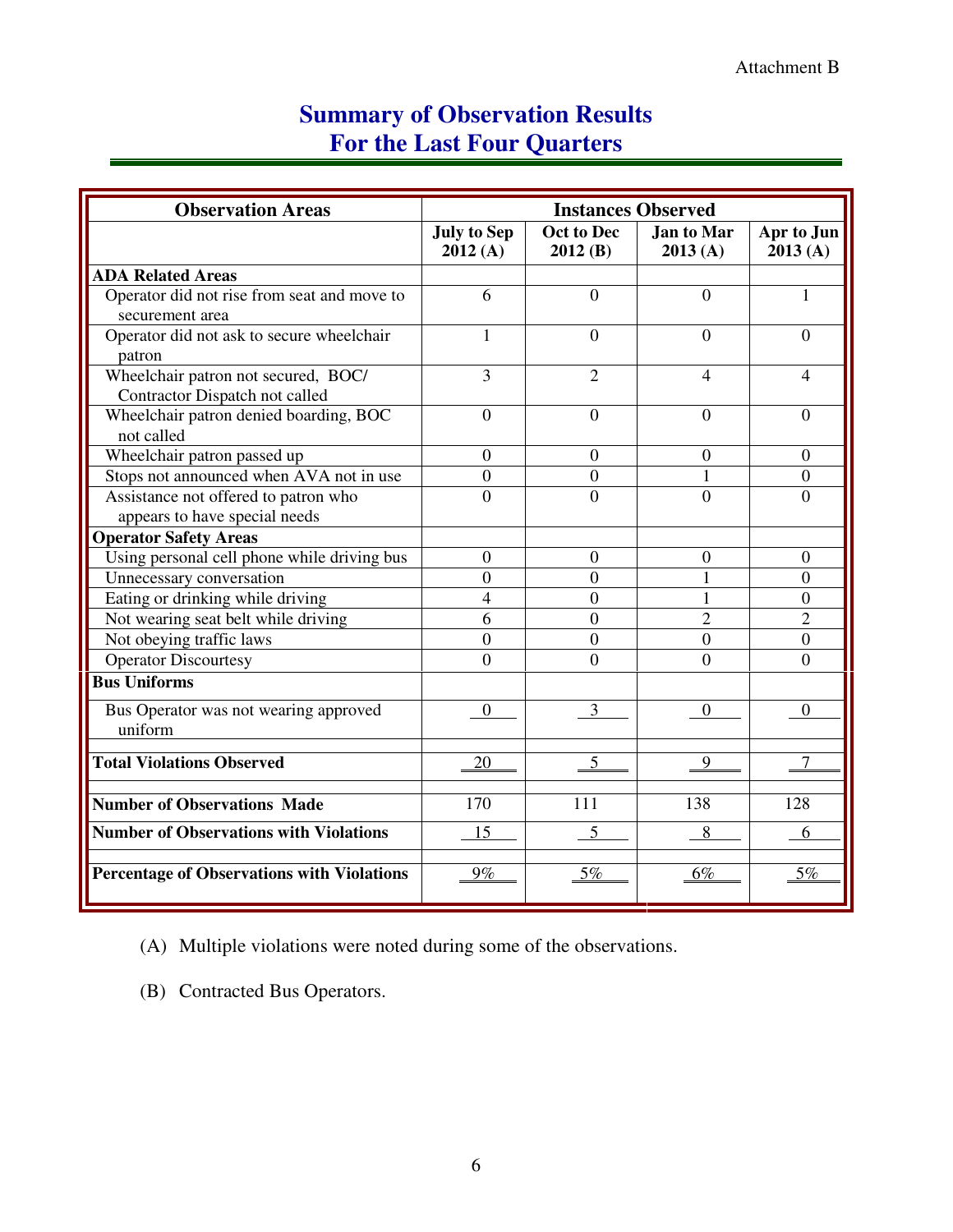## **Summary of Observation Results For the Last Four Quarters**

| <b>Observation Areas</b>                                              | <b>Instances Observed</b>     |                       |                              |                       |
|-----------------------------------------------------------------------|-------------------------------|-----------------------|------------------------------|-----------------------|
|                                                                       | <b>July to Sep</b><br>2012(A) | Oct to Dec<br>2012(B) | <b>Jan to Mar</b><br>2013(A) | Apr to Jun<br>2013(A) |
| <b>ADA Related Areas</b>                                              |                               |                       |                              |                       |
| Operator did not rise from seat and move to<br>securement area        | 6                             | $\overline{0}$        | $\Omega$                     | 1                     |
| Operator did not ask to secure wheelchair<br>patron                   | 1                             | $\theta$              | $\Omega$                     | $\theta$              |
| Wheelchair patron not secured, BOC/<br>Contractor Dispatch not called | 3                             | $\overline{2}$        | $\overline{\mathcal{A}}$     | $\overline{4}$        |
| Wheelchair patron denied boarding, BOC<br>not called                  | $\overline{0}$                | $\overline{0}$        | $\theta$                     | $\Omega$              |
| Wheelchair patron passed up                                           | $\overline{0}$                | $\overline{0}$        | $\overline{0}$               | $\Omega$              |
| Stops not announced when AVA not in use                               | $\overline{0}$                | $\boldsymbol{0}$      |                              | $\mathbf{0}$          |
| Assistance not offered to patron who                                  | $\overline{0}$                | $\overline{0}$        | $\overline{0}$               | $\overline{0}$        |
| appears to have special needs                                         |                               |                       |                              |                       |
| <b>Operator Safety Areas</b>                                          |                               |                       |                              |                       |
| Using personal cell phone while driving bus                           | $\overline{0}$                | $\overline{0}$        | $\mathbf{0}$                 | $\theta$              |
| Unnecessary conversation                                              | $\theta$                      | $\theta$              | 1                            | $\theta$              |
| Eating or drinking while driving                                      | $\overline{4}$                | $\Omega$              | 1                            | $\theta$              |
| Not wearing seat belt while driving                                   | 6                             | $\overline{0}$        | $\overline{2}$               | 2                     |
| Not obeying traffic laws                                              | $\overline{0}$                | $\theta$              | $\overline{0}$               | $\overline{0}$        |
| Operator Discourtesy                                                  | $\Omega$                      | $\Omega$              | 0                            | $\Omega$              |
| <b>Bus Uniforms</b>                                                   |                               |                       |                              |                       |
| Bus Operator was not wearing approved<br>uniform                      | $\theta$                      | 3                     | $\Omega$                     | $\boldsymbol{0}$      |
| <b>Total Violations Observed</b>                                      | 20                            | 5                     | 9                            | 7                     |
| <b>Number of Observations Made</b>                                    | 170                           | 111                   | 138                          | 128                   |
| <b>Number of Observations with Violations</b>                         | 15                            | 5                     | 8                            | 6                     |
| <b>Percentage of Observations with Violations</b>                     | $9\%$                         | 5%                    | 6%                           | 5%                    |

(A) Multiple violations were noted during some of the observations.

(B) Contracted Bus Operators.